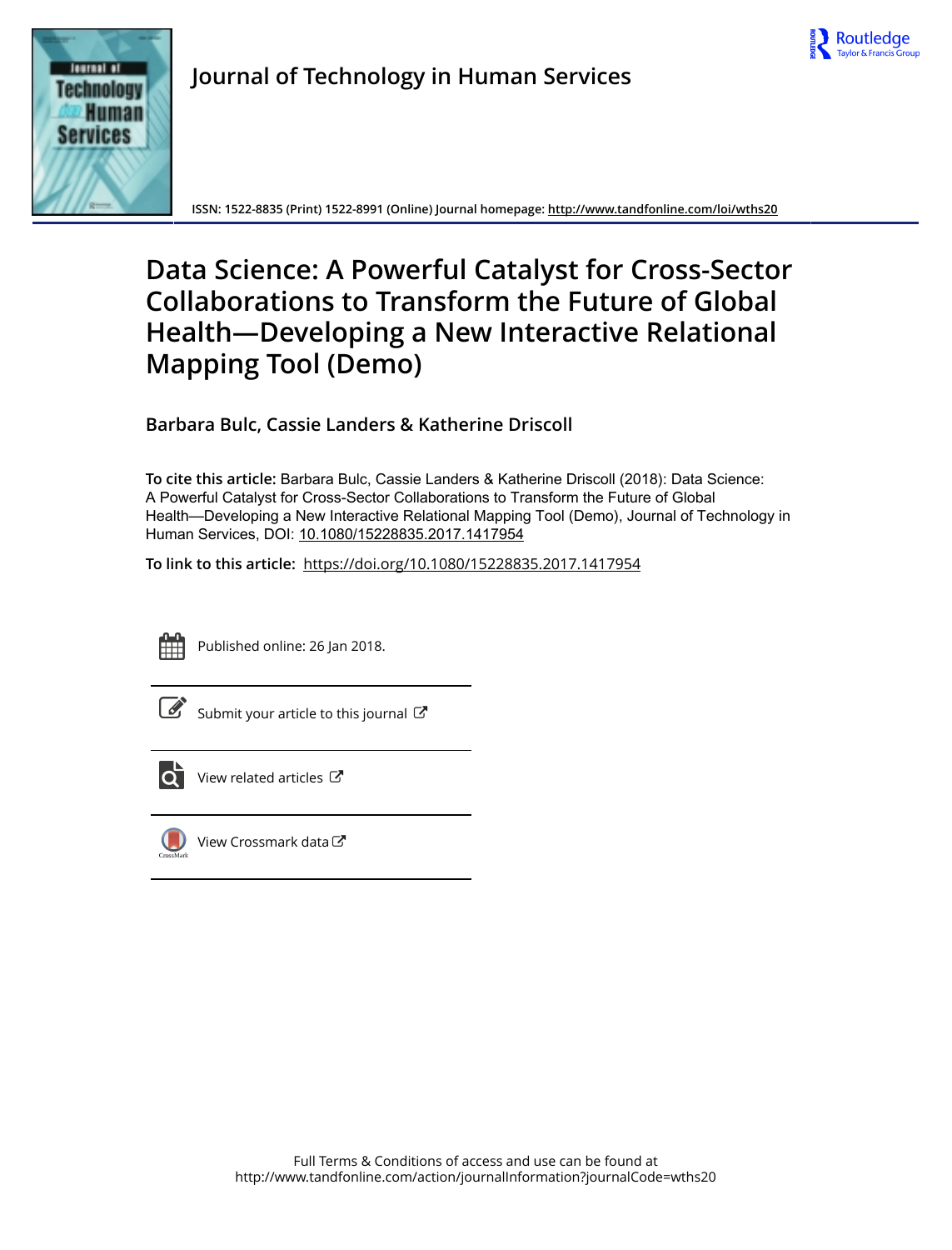



**Journal of Technology in Human Services**

**ISSN: 1522-8835 (Print) 1522-8991 (Online) Journal homepage:<http://www.tandfonline.com/loi/wths20>**

# **Data Science: A Powerful Catalyst for Cross-Sector Collaborations to Transform the Future of Global Health—Developing a New Interactive Relational Mapping Tool (Demo)**

**Barbara Bulc, Cassie Landers & Katherine Driscoll**

**To cite this article:** Barbara Bulc, Cassie Landers & Katherine Driscoll (2018): Data Science: A Powerful Catalyst for Cross-Sector Collaborations to Transform the Future of Global Health—Developing a New Interactive Relational Mapping Tool (Demo), Journal of Technology in Human Services, DOI: [10.1080/15228835.2017.1417954](http://www.tandfonline.com/action/showCitFormats?doi=10.1080/15228835.2017.1417954)

**To link to this article:** <https://doi.org/10.1080/15228835.2017.1417954>



Published online: 26 Jan 2018.

|--|

[Submit your article to this journal](http://www.tandfonline.com/action/authorSubmission?journalCode=wths20&show=instructions)  $\mathbb{Z}$ 



 $\overrightarrow{Q}$  [View related articles](http://www.tandfonline.com/doi/mlt/10.1080/15228835.2017.1417954)  $\overrightarrow{C}$ 



 $\bigcup$  [View Crossmark data](http://crossmark.crossref.org/dialog/?doi=10.1080/15228835.2017.1417954&domain=pdf&date_stamp=2018-01-26) $G$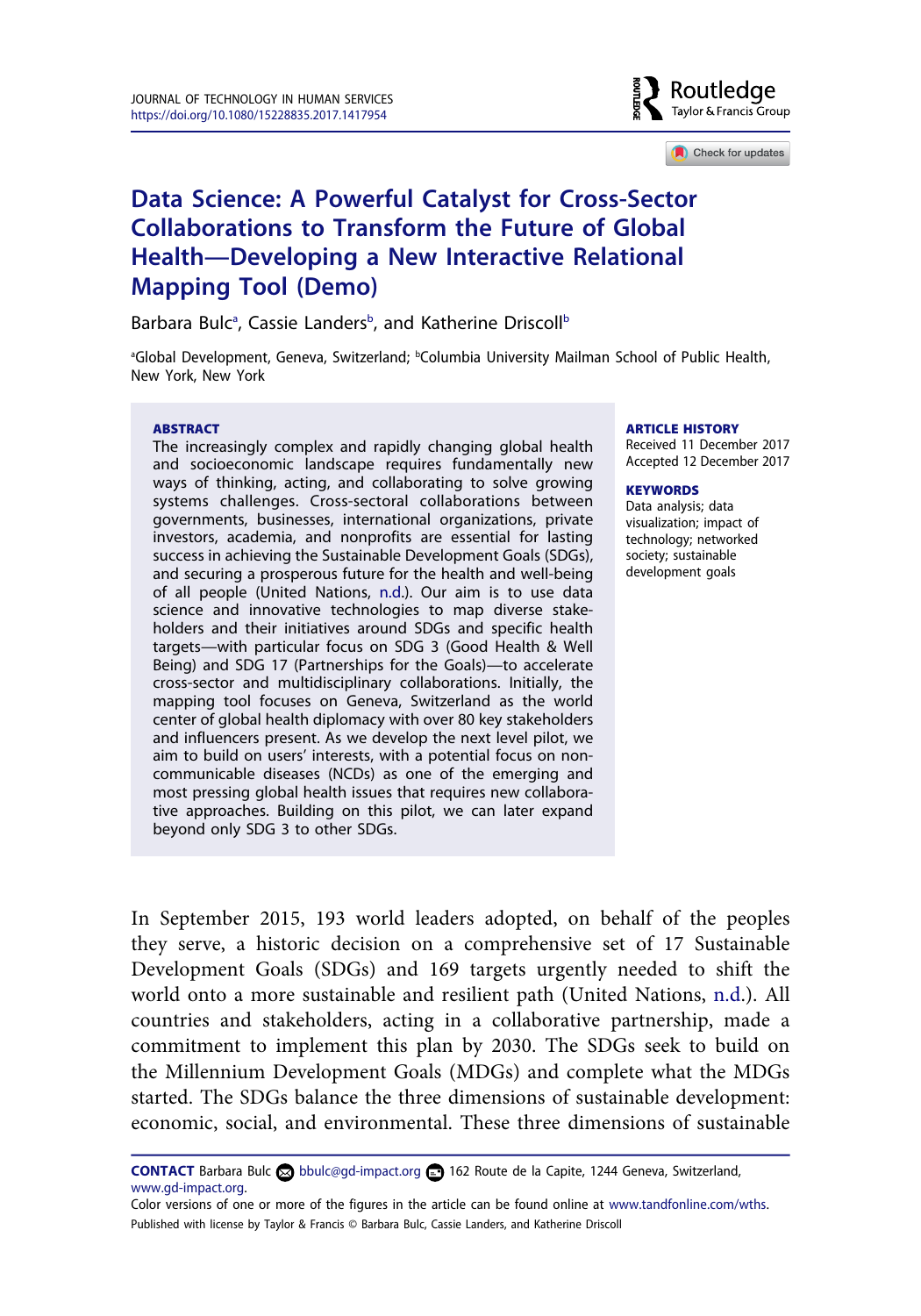

 $\Box$  Check for updates

## **Data Science: A Powerful Catalyst for Cross-Sector Collaborations to Transform the Future of Global Health—Developing a New Interactive Relational Mapping Tool (Demo)**

Barbara Bulc<sup>a</sup>, Cassie Landers<sup>b</sup>, and Katherine Driscoll<sup>b</sup>

ªGlobal Development, Geneva, Switzerland; ʰColumbia University Mailman School of Public Health, New York, New York

#### **ABSTRACT**

The increasingly complex and rapidly changing global health and socioeconomic landscape requires fundamentally new ways of thinking, acting, and collaborating to solve growing systems challenges. Cross-sectoral collaborations between governments, businesses, international organizations, private investors, academia, and nonprofits are essential for lasting success in achieving the Sustainable Development Goals (SDGs), and securing a prosperous future for the health and well-being of all people (United Nations, [n.d.](#page-7-0)). Our aim is to use data science and innovative technologies to map diverse stakeholders and their initiatives around SDGs and specific health targets—with particular focus on SDG 3 (Good Health & Well Being) and SDG 17 (Partnerships for the Goals)—to accelerate cross-sector and multidisciplinary collaborations. Initially, the mapping tool focuses on Geneva, Switzerland as the world center of global health diplomacy with over 80 key stakeholders and influencers present. As we develop the next level pilot, we aim to build on users' interests, with a potential focus on noncommunicable diseases (NCDs) as one of the emerging and most pressing global health issues that requires new collaborative approaches. Building on this pilot, we can later expand beyond only SDG 3 to other SDGs.

#### **ARTICLE HISTORY**

Received 11 December 2017 Accepted 12 December 2017

#### **KEYWORDS**

Data analysis; data visualization; impact of technology; networked society; sustainable development goals

In September 2015, 193 world leaders adopted, on behalf of the peoples they serve, a historic decision on a comprehensive set of 17 Sustainable Development Goals (SDGs) and 169 targets urgently needed to shift the world onto a more sustainable and resilient path (United Nations, [n.d](#page-7-0).). All countries and stakeholders, acting in a collaborative partnership, made a commitment to implement this plan by 2030. The SDGs seek to build on the Millennium Development Goals (MDGs) and complete what the MDGs started. The SDGs balance the three dimensions of sustainable development: economic, social, and environmental. These three dimensions of sustainable

#### **CONTACT** Barbara Bulc [bbulc@gd-impact.org](mailto:bbulc@gd-impact.org) 162 Route de la Capite, 1244 Geneva, Switzerland, [www.gd-impact.org.](http://www.gd-impact.org)

Color versions of one or more of the figures in the article can be found online at [www.tandfonline.com/wths](http://www.tandfonline.com/wths). Published with license by Taylor & Francis © Barbara Bulc, Cassie Landers, and Katherine Driscoll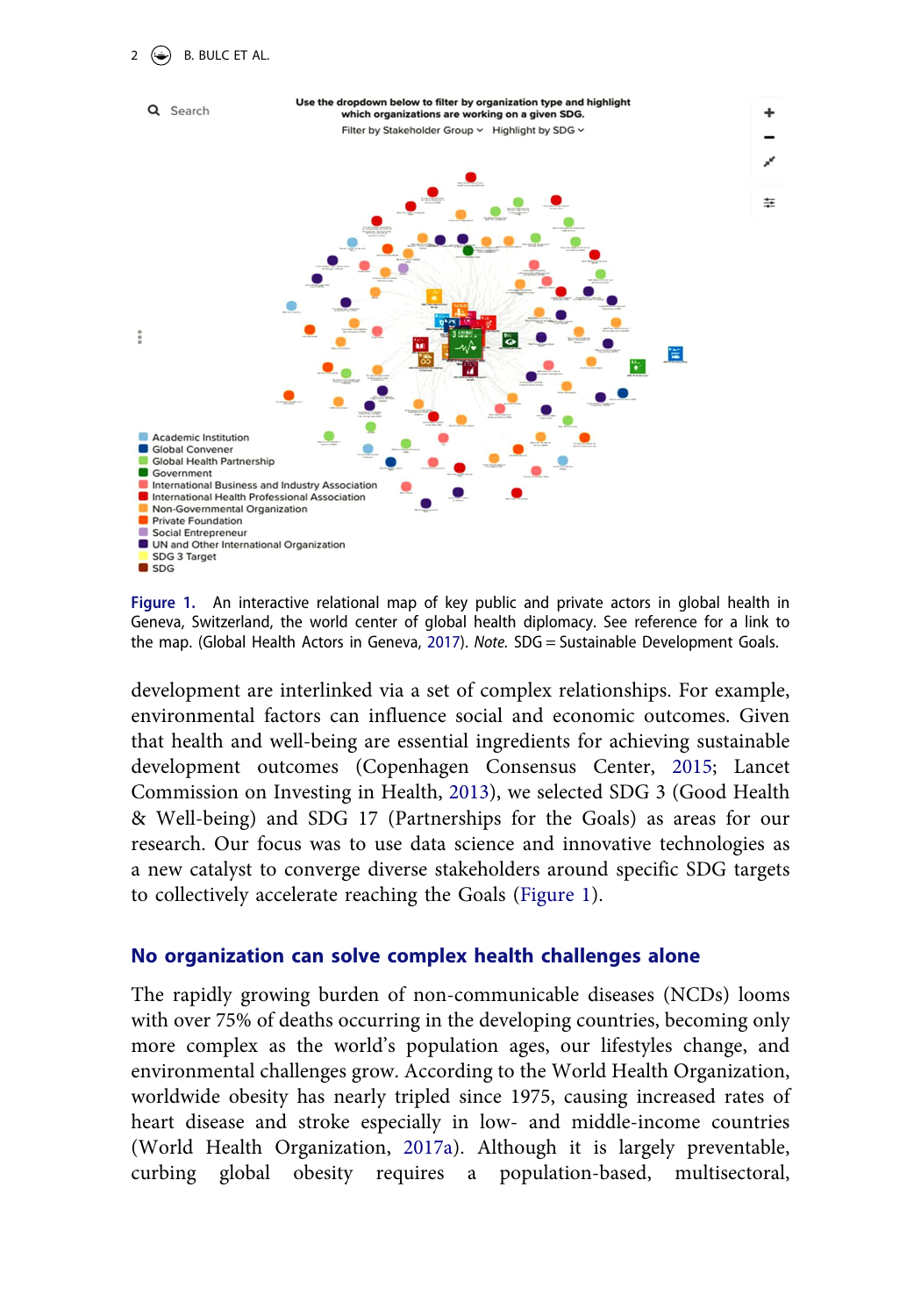## 2  $\left(\bigstar\right)$  B. BULC ET AL.



**Figure 1.** An interactive relational map of key public and private actors in global health in Geneva, Switzerland, the world center of global health diplomacy. See reference for a link to the map. (Global Health Actors in Geneva, [2017\)](#page-7-0). *Note.* SDG = Sustainable Development Goals.

development are interlinked via a set of complex relationships. For example, environmental factors can influence social and economic outcomes. Given that health and well-being are essential ingredients for achieving sustainable development outcomes (Copenhagen Consensus Center, [2015;](#page-7-0) Lancet Commission on Investing in Health, [2013\)](#page-7-0), we selected SDG 3 (Good Health & Well-being) and SDG 17 (Partnerships for the Goals) as areas for our research. Our focus was to use data science and innovative technologies as a new catalyst to converge diverse stakeholders around specific SDG targets to collectively accelerate reaching the Goals (Figure 1).

#### **No organization can solve complex health challenges alone**

The rapidly growing burden of non-communicable diseases (NCDs) looms with over 75% of deaths occurring in the developing countries, becoming only more complex as the world's population ages, our lifestyles change, and environmental challenges grow. According to the World Health Organization, worldwide obesity has nearly tripled since 1975, causing increased rates of heart disease and stroke especially in low- and middle-income countries (World Health Organization, [2017a\)](#page-7-0). Although it is largely preventable, curbing global obesity requires a population-based, multisectoral,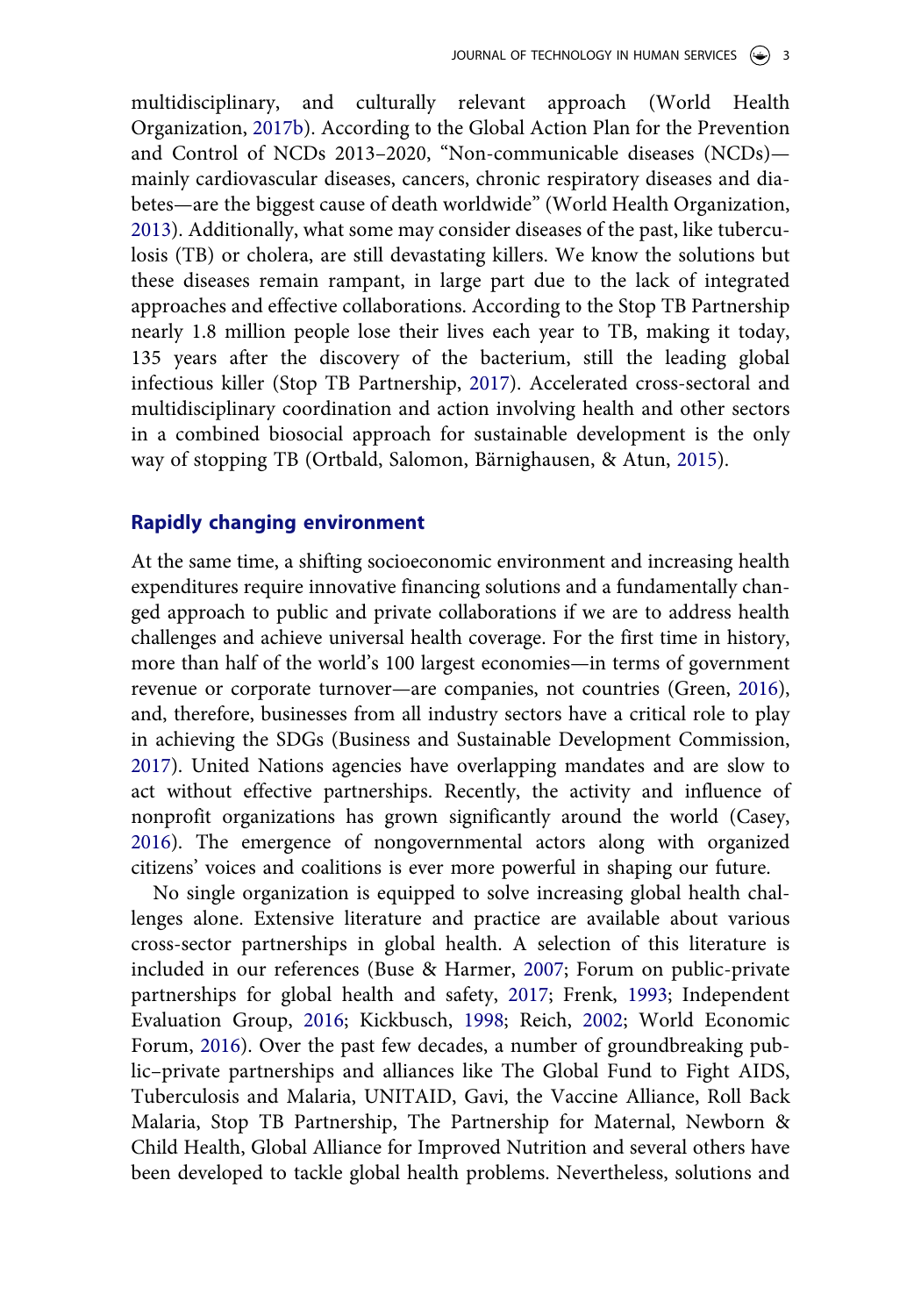multidisciplinary, and culturally relevant approach (World Health Organization, [2017b](#page-7-0)). According to the Global Action Plan for the Prevention and Control of NCDs 2013–2020, "Non-communicable diseases (NCDs) mainly cardiovascular diseases, cancers, chronic respiratory diseases and diabetes—are the biggest cause of death worldwide" (World Health Organization, [2013\)](#page-7-0). Additionally, what some may consider diseases of the past, like tuberculosis (TB) or cholera, are still devastating killers. We know the solutions but these diseases remain rampant, in large part due to the lack of integrated approaches and effective collaborations. According to the Stop TB Partnership nearly 1.8 million people lose their lives each year to TB, making it today, 135 years after the discovery of the bacterium, still the leading global infectious killer (Stop TB Partnership, [2017\)](#page-7-0). Accelerated cross-sectoral and multidisciplinary coordination and action involving health and other sectors in a combined biosocial approach for sustainable development is the only way of stopping TB (Ortbald, Salomon, Bärnighausen, & Atun, [2015](#page-7-0)).

#### **Rapidly changing environment**

At the same time, a shifting socioeconomic environment and increasing health expenditures require innovative financing solutions and a fundamentally changed approach to public and private collaborations if we are to address health challenges and achieve universal health coverage. For the first time in history, more than half of the world's 100 largest economies—in terms of government revenue or corporate turnover—are companies, not countries (Green, [2016\)](#page-7-0), and, therefore, businesses from all industry sectors have a critical role to play in achieving the SDGs (Business and Sustainable Development Commission, [2017](#page-6-0)). United Nations agencies have overlapping mandates and are slow to act without effective partnerships. Recently, the activity and influence of nonprofit organizations has grown significantly around the world (Casey, [2016](#page-6-0)). The emergence of nongovernmental actors along with organized citizens' voices and coalitions is ever more powerful in shaping our future.

No single organization is equipped to solve increasing global health challenges alone. Extensive literature and practice are available about various cross-sector partnerships in global health. A selection of this literature is included in our references (Buse & Harmer, [2007;](#page-6-0) Forum on public-private partnerships for global health and safety, [2017](#page-7-0); Frenk, [1993](#page-7-0); Independent Evaluation Group, [2016](#page-7-0); Kickbusch, [1998;](#page-7-0) Reich, [2002;](#page-7-0) World Economic Forum, [2016\)](#page-7-0). Over the past few decades, a number of groundbreaking public–private partnerships and alliances like The Global Fund to Fight AIDS, Tuberculosis and Malaria, UNITAID, Gavi, the Vaccine Alliance, Roll Back Malaria, Stop TB Partnership, The Partnership for Maternal, Newborn & Child Health, Global Alliance for Improved Nutrition and several others have been developed to tackle global health problems. Nevertheless, solutions and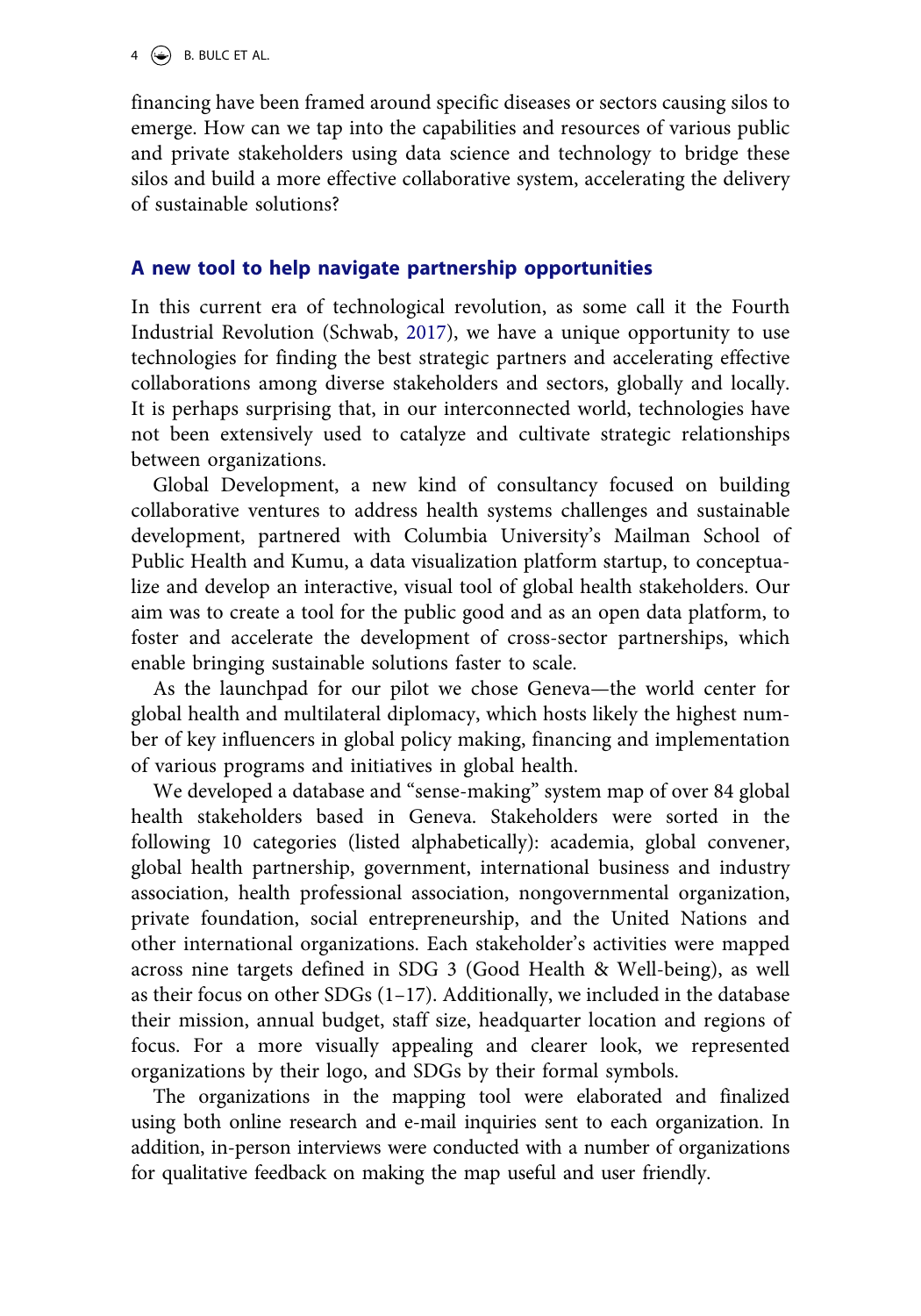$4 \quad \circledast$  B. BULC ET AL.

financing have been framed around specific diseases or sectors causing silos to emerge. How can we tap into the capabilities and resources of various public and private stakeholders using data science and technology to bridge these silos and build a more effective collaborative system, accelerating the delivery of sustainable solutions?

## **A new tool to help navigate partnership opportunities**

In this current era of technological revolution, as some call it the Fourth Industrial Revolution (Schwab, [2017](#page-7-0)), we have a unique opportunity to use technologies for finding the best strategic partners and accelerating effective collaborations among diverse stakeholders and sectors, globally and locally. It is perhaps surprising that, in our interconnected world, technologies have not been extensively used to catalyze and cultivate strategic relationships between organizations.

Global Development, a new kind of consultancy focused on building collaborative ventures to address health systems challenges and sustainable development, partnered with Columbia University's Mailman School of Public Health and Kumu, a data visualization platform startup, to conceptualize and develop an interactive, visual tool of global health stakeholders. Our aim was to create a tool for the public good and as an open data platform, to foster and accelerate the development of cross-sector partnerships, which enable bringing sustainable solutions faster to scale.

As the launchpad for our pilot we chose Geneva—the world center for global health and multilateral diplomacy, which hosts likely the highest number of key influencers in global policy making, financing and implementation of various programs and initiatives in global health.

We developed a database and "sense-making" system map of over 84 global health stakeholders based in Geneva. Stakeholders were sorted in the following 10 categories (listed alphabetically): academia, global convener, global health partnership, government, international business and industry association, health professional association, nongovernmental organization, private foundation, social entrepreneurship, and the United Nations and other international organizations. Each stakeholder's activities were mapped across nine targets defined in SDG 3 (Good Health & Well-being), as well as their focus on other SDGs  $(1-17)$ . Additionally, we included in the database their mission, annual budget, staff size, headquarter location and regions of focus. For a more visually appealing and clearer look, we represented organizations by their logo, and SDGs by their formal symbols.

The organizations in the mapping tool were elaborated and finalized using both online research and e-mail inquiries sent to each organization. In addition, in-person interviews were conducted with a number of organizations for qualitative feedback on making the map useful and user friendly.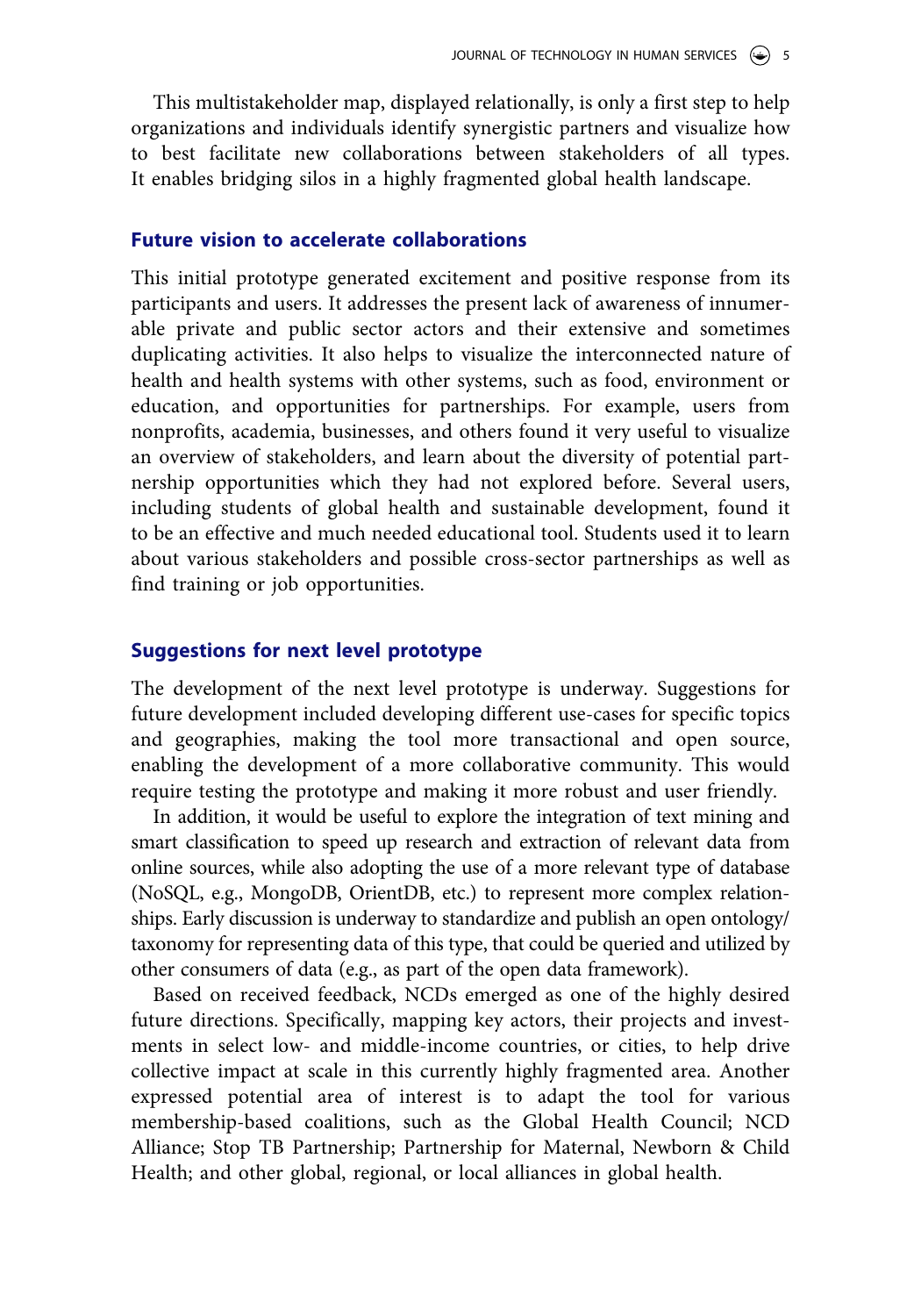This multistakeholder map, displayed relationally, is only a first step to help organizations and individuals identify synergistic partners and visualize how to best facilitate new collaborations between stakeholders of all types. It enables bridging silos in a highly fragmented global health landscape.

#### **Future vision to accelerate collaborations**

This initial prototype generated excitement and positive response from its participants and users. It addresses the present lack of awareness of innumerable private and public sector actors and their extensive and sometimes duplicating activities. It also helps to visualize the interconnected nature of health and health systems with other systems, such as food, environment or education, and opportunities for partnerships. For example, users from nonprofits, academia, businesses, and others found it very useful to visualize an overview of stakeholders, and learn about the diversity of potential partnership opportunities which they had not explored before. Several users, including students of global health and sustainable development, found it to be an effective and much needed educational tool. Students used it to learn about various stakeholders and possible cross-sector partnerships as well as find training or job opportunities.

#### **Suggestions for next level prototype**

The development of the next level prototype is underway. Suggestions for future development included developing different use-cases for specific topics and geographies, making the tool more transactional and open source, enabling the development of a more collaborative community. This would require testing the prototype and making it more robust and user friendly.

In addition, it would be useful to explore the integration of text mining and smart classification to speed up research and extraction of relevant data from online sources, while also adopting the use of a more relevant type of database (NoSQL, e.g., MongoDB, OrientDB, etc.) to represent more complex relationships. Early discussion is underway to standardize and publish an open ontology/ taxonomy for representing data of this type, that could be queried and utilized by other consumers of data (e.g., as part of the open data framework).

Based on received feedback, NCDs emerged as one of the highly desired future directions. Specifically, mapping key actors, their projects and investments in select low- and middle-income countries, or cities, to help drive collective impact at scale in this currently highly fragmented area. Another expressed potential area of interest is to adapt the tool for various membership-based coalitions, such as the Global Health Council; NCD Alliance; Stop TB Partnership; Partnership for Maternal, Newborn & Child Health; and other global, regional, or local alliances in global health.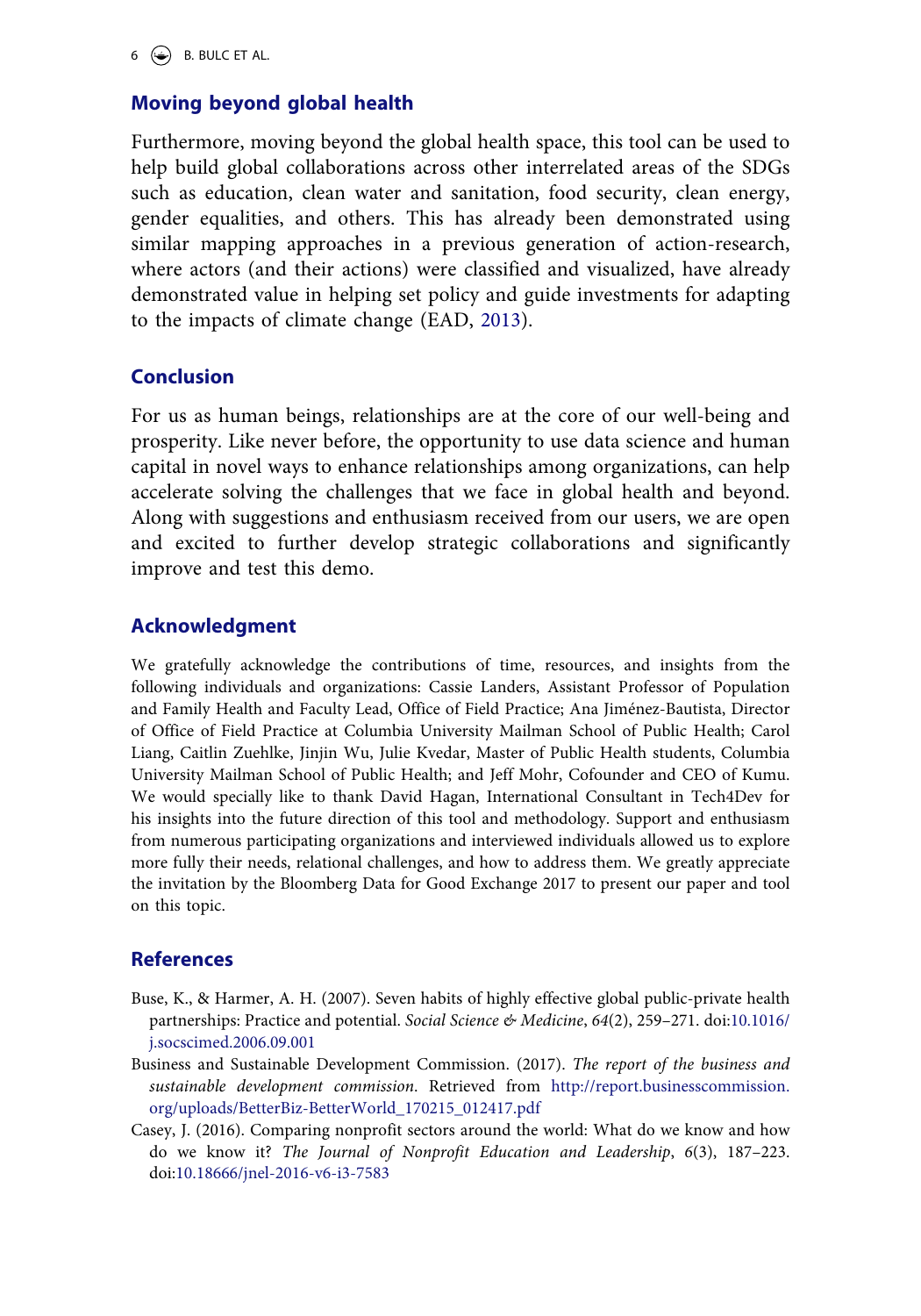## <span id="page-6-0"></span>**Moving beyond global health**

Furthermore, moving beyond the global health space, this tool can be used to help build global collaborations across other interrelated areas of the SDGs such as education, clean water and sanitation, food security, clean energy, gender equalities, and others. This has already been demonstrated using similar mapping approaches in a previous generation of action-research, where actors (and their actions) were classified and visualized, have already demonstrated value in helping set policy and guide investments for adapting to the impacts of climate change (EAD, [2013](#page-7-0)).

## **Conclusion**

For us as human beings, relationships are at the core of our well-being and prosperity. Like never before, the opportunity to use data science and human capital in novel ways to enhance relationships among organizations, can help accelerate solving the challenges that we face in global health and beyond. Along with suggestions and enthusiasm received from our users, we are open and excited to further develop strategic collaborations and significantly improve and test this demo.

## **Acknowledgment**

We gratefully acknowledge the contributions of time, resources, and insights from the following individuals and organizations: Cassie Landers, Assistant Professor of Population and Family Health and Faculty Lead, Office of Field Practice; Ana Jiménez-Bautista, Director of Office of Field Practice at Columbia University Mailman School of Public Health; Carol Liang, Caitlin Zuehlke, Jinjin Wu, Julie Kvedar, Master of Public Health students, Columbia University Mailman School of Public Health; and Jeff Mohr, Cofounder and CEO of Kumu. We would specially like to thank David Hagan, International Consultant in Tech4Dev for his insights into the future direction of this tool and methodology. Support and enthusiasm from numerous participating organizations and interviewed individuals allowed us to explore more fully their needs, relational challenges, and how to address them. We greatly appreciate the invitation by the Bloomberg Data for Good Exchange 2017 to present our paper and tool on this topic.

## **References**

- Buse, K., & Harmer, A. H. (2007). Seven habits of highly effective global public-private health partnerships: Practice and potential. *Social Science & Medicine*, *64*(2), 259–271. doi:[10.1016/](https://doi.org/10.1016/j.socscimed.2006.09.001) [j.socscimed.2006.09.001](https://doi.org/10.1016/j.socscimed.2006.09.001)
- Business and Sustainable Development Commission. (2017). *The report of the business and sustainable development commission*. Retrieved from [http://report.businesscommission.](http://report.businesscommission.org/uploads/BetterBiz-BetterWorld_170215_012417.pdf) [org/uploads/BetterBiz-BetterWorld\\_170215\\_012417.pdf](http://report.businesscommission.org/uploads/BetterBiz-BetterWorld_170215_012417.pdf)
- Casey, J. (2016). Comparing nonprofit sectors around the world: What do we know and how do we know it? *The Journal of Nonprofit Education and Leadership*, *6*(3), 187–223. doi[:10.18666/jnel-2016-v6-i3-7583](https://doi.org/10.18666/jnel-2016-v6-i3-7583)